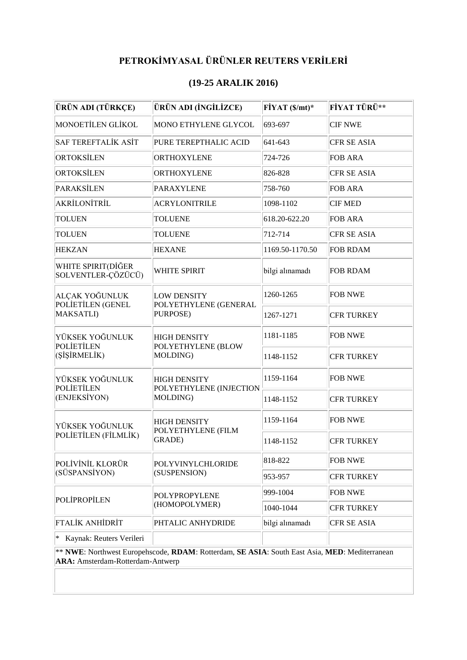## **PETROKİMYASAL ÜRÜNLER REUTERS VERİLERİ**

## **(19-25 ARALIK 2016)**

| ÜRÜN ADI (TÜRKÇE)                                                                                                                        | ÜRÜN ADI (İNGİLİZCE)                                       | $FiYAT(S/mt)*$  | FİYAT TÜRÜ**       |  |
|------------------------------------------------------------------------------------------------------------------------------------------|------------------------------------------------------------|-----------------|--------------------|--|
| MONOETİLEN GLİKOL                                                                                                                        | MONO ETHYLENE GLYCOL                                       | 693-697         | <b>CIF NWE</b>     |  |
| <b>SAF TEREFTALİK ASİT</b>                                                                                                               | PURE TEREPTHALIC ACID                                      | 641-643         | <b>CFR SE ASIA</b> |  |
| <b>ORTOKSİLEN</b>                                                                                                                        | <b>ORTHOXYLENE</b>                                         | 724-726         | <b>FOB ARA</b>     |  |
| <b>ORTOKSİLEN</b>                                                                                                                        | ORTHOXYLENE                                                | 826-828         | <b>CFR SE ASIA</b> |  |
| <b>PARAKSİLEN</b>                                                                                                                        | <b>PARAXYLENE</b>                                          | 758-760         | <b>FOB ARA</b>     |  |
| AKRİLONİTRİL                                                                                                                             | <b>ACRYLONITRILE</b>                                       | 1098-1102       | <b>CIF MED</b>     |  |
| <b>TOLUEN</b>                                                                                                                            | <b>TOLUENE</b>                                             | 618.20-622.20   | <b>FOB ARA</b>     |  |
| <b>TOLUEN</b>                                                                                                                            | <b>TOLUENE</b>                                             | 712-714         | <b>CFR SE ASIA</b> |  |
| <b>HEKZAN</b>                                                                                                                            | <b>HEXANE</b>                                              | 1169.50-1170.50 | <b>FOB RDAM</b>    |  |
| WHITE SPIRIT(DİĞER<br>SOLVENTLER-ÇÖZÜCÜ)                                                                                                 | <b>WHITE SPIRIT</b>                                        | bilgi alınamadı | <b>FOB RDAM</b>    |  |
| ALÇAK YOĞUNLUK<br>POLIETILEN (GENEL<br>MAKSATLI)                                                                                         | <b>LOW DENSITY</b><br>POLYETHYLENE (GENERAL<br>PURPOSE)    | 1260-1265       | <b>FOB NWE</b>     |  |
|                                                                                                                                          |                                                            | 1267-1271       | <b>CFR TURKEY</b>  |  |
| YÜKSEK YOĞUNLUK<br><b>POLIETILEN</b><br>(ŞİŞİRMELİK)                                                                                     | <b>HIGH DENSITY</b><br>POLYETHYLENE (BLOW<br>MOLDING)      | 1181-1185       | <b>FOB NWE</b>     |  |
|                                                                                                                                          |                                                            | 1148-1152       | <b>CFR TURKEY</b>  |  |
| YÜKSEK YOĞUNLUK<br><b>POLIETILEN</b><br>(ENJEKSİYON)                                                                                     | <b>HIGH DENSITY</b><br>POLYETHYLENE (INJECTION<br>MOLDING) | 1159-1164       | <b>FOB NWE</b>     |  |
|                                                                                                                                          |                                                            | 1148-1152       | <b>CFR TURKEY</b>  |  |
| YÜKSEK YOĞUNLUK<br>POLIETILEN (FİLMLİK)                                                                                                  | <b>HIGH DENSITY</b><br>POLYETHYLENE (FILM<br>GRADE)        | 1159-1164       | <b>FOB NWE</b>     |  |
|                                                                                                                                          |                                                            | 1148-1152       | <b>CFR TURKEY</b>  |  |
| POLİVİNİL KLORÜR<br>(SÜSPANSİYON)                                                                                                        | <b>POLYVINYLCHLORIDE</b><br>(SUSPENSION)                   | 818-822         | <b>FOB NWE</b>     |  |
|                                                                                                                                          |                                                            | 953-957         | <b>CFR TURKEY</b>  |  |
| POLİPROPİLEN                                                                                                                             | POLYPROPYLENE<br>(HOMOPOLYMER)                             | 999-1004        | <b>FOB NWE</b>     |  |
|                                                                                                                                          |                                                            | 1040-1044       | <b>CFR TURKEY</b>  |  |
| <b>FTALİK ANHİDRİT</b>                                                                                                                   | PHTALIC ANHYDRIDE                                          | bilgi alınamadı | <b>CFR SE ASIA</b> |  |
| ∗<br>Kaynak: Reuters Verileri                                                                                                            |                                                            |                 |                    |  |
| ** NWE: Northwest Europehscode, RDAM: Rotterdam, SE ASIA: South East Asia, MED: Mediterranean<br><b>ARA:</b> Amsterdam-Rotterdam-Antwerp |                                                            |                 |                    |  |